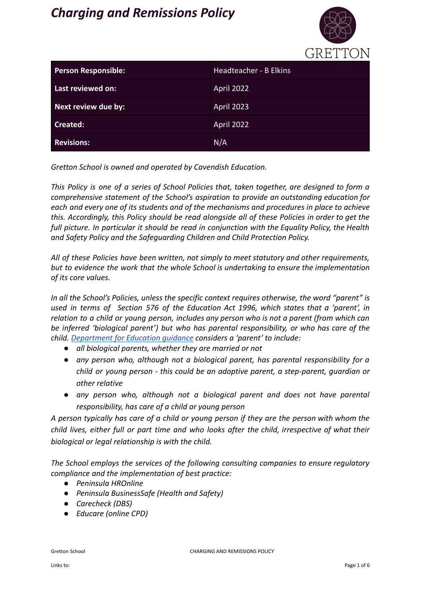# *Charging and Remissions Policy*



|                            | <u>UILLII I UIT</u>    |
|----------------------------|------------------------|
| <b>Person Responsible:</b> | Headteacher - B Elkins |
| Last reviewed on:          | April 2022             |
| Next review due by:        | April 2023             |
| <b>Created:</b>            | April 2022             |
| <b>Revisions:</b>          | N/A                    |

*Gretton School is owned and operated by Cavendish Education.*

*This Policy is one of a series of School Policies that, taken together, are designed to form a comprehensive statement of the School's aspiration to provide an outstanding education for each and every one of its students and of the mechanisms and procedures in place to achieve this. Accordingly, this Policy should be read alongside all of these Policies in order to get the full picture. In particular it should be read in conjunction with the Equality Policy, the Health and Safety Policy and the Safeguarding Children and Child Protection Policy.*

*All of these Policies have been written, not simply to meet statutory and other requirements, but to evidence the work that the whole School is undertaking to ensure the implementation of its core values.*

*In all the School's Policies, unless the specific context requires otherwise, the word "parent" is used in terms of Section 576 of the Education Act 1996, which states that a 'parent', in relation to a child or young person, includes any person who is not a parent (from which can be inferred 'biological parent') but who has parental responsibility, or who has care of the child. [Department for Education guidance](https://www.gov.uk/government/publications/dealing-with-issues-relating-to-parental-responsibility/understanding-and-dealing-with-issues-relating-to-parental-responsibility) considers a 'parent' to include:*

- *● all biological parents, whether they are married or not*
- *● any person who, although not a biological parent, has parental responsibility for a child or young person - this could be an adoptive parent, a step-parent, guardian or other relative*
- *● any person who, although not a biological parent and does not have parental responsibility, has care of a child or young person*

*A person typically has care of a child or young person if they are the person with whom the child lives, either full or part time and who looks after the child, irrespective of what their biological or legal relationship is with the child.*

*The School employs the services of the following consulting companies to ensure regulatory compliance and the implementation of best practice:*

- *● Peninsula HROnline*
- *● Peninsula BusinessSafe (Health and Safety)*
- *● Carecheck (DBS)*
- *● Educare (online CPD)*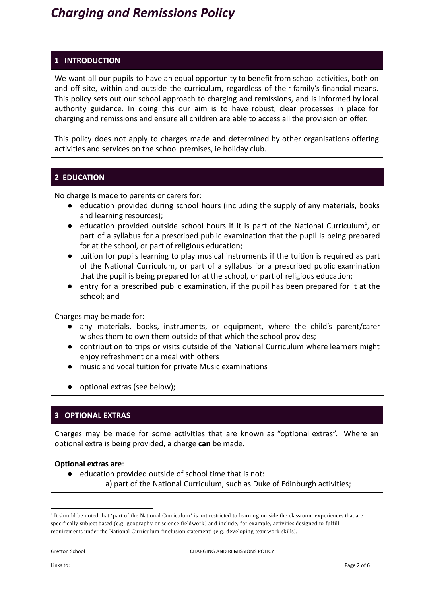# *Charging and Remissions Policy*

# **1 INTRODUCTION**

We want all our pupils to have an equal opportunity to benefit from school activities, both on and off site, within and outside the curriculum, regardless of their family's financial means. This policy sets out our school approach to charging and remissions, and is informed by local authority guidance. In doing this our aim is to have robust, clear processes in place for charging and remissions and ensure all children are able to access all the provision on offer.

This policy does not apply to charges made and determined by other organisations offering activities and services on the school premises, ie holiday club.

### **2 EDUCATION**

No charge is made to parents or carers for:

- education provided during school hours (including the supply of any materials, books and learning resources);
- $\bullet$  education provided outside school hours if it is part of the National Curriculum<sup>1</sup>, or part of a syllabus for a prescribed public examination that the pupil is being prepared for at the school, or part of religious education;
- tuition for pupils learning to play musical instruments if the tuition is required as part of the National Curriculum, or part of a syllabus for a prescribed public examination that the pupil is being prepared for at the school, or part of religious education;
- entry for a prescribed public examination, if the pupil has been prepared for it at the school; and

Charges may be made for:

- any materials, books, instruments, or equipment, where the child's parent/carer wishes them to own them outside of that which the school provides;
- contribution to trips or visits outside of the National Curriculum where learners might enjoy refreshment or a meal with others
- music and vocal tuition for private Music examinations
- optional extras (see below);

### **3 OPTIONAL EXTRAS**

Charges may be made for some activities that are known as "optional extras". Where an optional extra is being provided, a charge **can** be made.

#### **Optional extras are**:

● education provided outside of school time that is not: a) part of the National Curriculum, such as Duke of Edinburgh activities;

<sup>&</sup>lt;sup>1</sup> It should be noted that 'part of the National Curriculum' is not restricted to learning outside the classroom experiences that are specifically subject based (e.g. geography or science fieldwork) and include, for example, activities designed to fulfill requirements under the National Curriculum 'inclusion statement' (e.g. developing teamwork skills).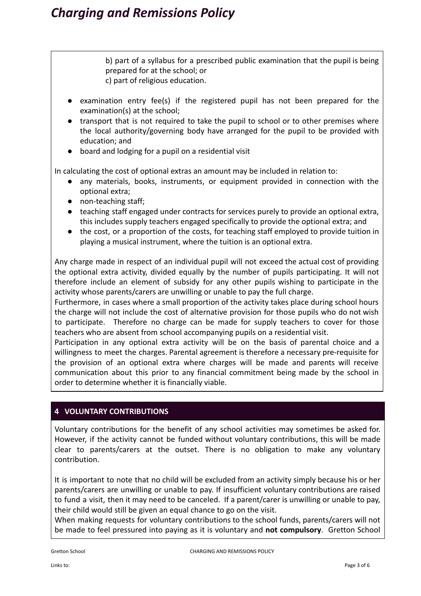b) part of a syllabus for a prescribed public examination that the pupil is being prepared for at the school; or c) part of religious education.

- examination entry fee(s) if the registered pupil has not been prepared for the examination(s) at the school;
- transport that is not required to take the pupil to school or to other premises where the local authority/governing body have arranged for the pupil to be provided with education; and
- board and lodging for a pupil on a residential visit

In calculating the cost of optional extras an amount may be included in relation to:

- any materials, books, instruments, or equipment provided in connection with the optional extra;
- non-teaching staff;
- teaching staff engaged under contracts for services purely to provide an optional extra, this includes supply teachers engaged specifically to provide the optional extra; and
- the cost, or a proportion of the costs, for teaching staff employed to provide tuition in playing a musical instrument, where the tuition is an optional extra.

Any charge made in respect of an individual pupil will not exceed the actual cost of providing the optional extra activity, divided equally by the number of pupils participating. It will not therefore include an element of subsidy for any other pupils wishing to participate in the activity whose parents/carers are unwilling or unable to pay the full charge.

Furthermore, in cases where a small proportion of the activity takes place during school hours the charge will not include the cost of alternative provision for those pupils who do not wish to participate. Therefore no charge can be made for supply teachers to cover for those teachers who are absent from school accompanying pupils on a residential visit.

Participation in any optional extra activity will be on the basis of parental choice and a willingness to meet the charges. Parental agreement is therefore a necessary pre-requisite for the provision of an optional extra where charges will be made and parents will receive communication about this prior to any financial commitment being made by the school in order to determine whether it is financially viable.

# **4 VOLUNTARY CONTRIBUTIONS**

Voluntary contributions for the benefit of any school activities may sometimes be asked for. However, if the activity cannot be funded without voluntary contributions, this will be made clear to parents/carers at the outset. There is no obligation to make any voluntary contribution.

It is important to note that no child will be excluded from an activity simply because his or her parents/carers are unwilling or unable to pay. If insufficient voluntary contributions are raised to fund a visit, then it may need to be canceled. If a parent/carer is unwilling or unable to pay, their child would still be given an equal chance to go on the visit.

When making requests for voluntary contributions to the school funds, parents/carers will not be made to feel pressured into paying as it is voluntary and **not compulsory**. Gretton School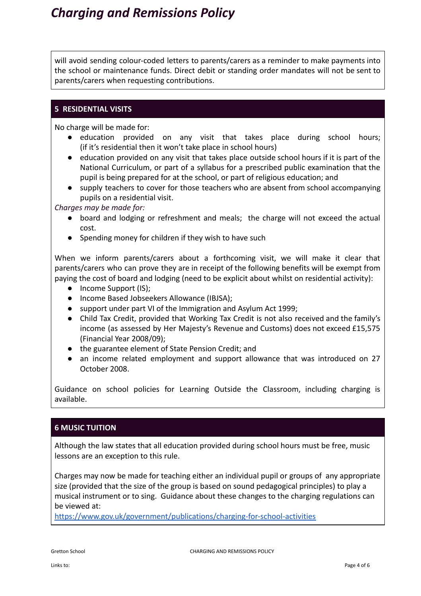will avoid sending colour-coded letters to parents/carers as a reminder to make payments into the school or maintenance funds. Direct debit or standing order mandates will not be sent to parents/carers when requesting contributions.

#### **5 RESIDENTIAL VISITS**

No charge will be made for:

- education provided on any visit that takes place during school hours; (if it's residential then it won't take place in school hours)
- education provided on any visit that takes place outside school hours if it is part of the National Curriculum, or part of a syllabus for a prescribed public examination that the pupil is being prepared for at the school, or part of religious education; and
- supply teachers to cover for those teachers who are absent from school accompanying pupils on a residential visit.

*Charges may be made for:*

- board and lodging or refreshment and meals; the charge will not exceed the actual cost.
- Spending money for children if they wish to have such

When we inform parents/carers about a forthcoming visit, we will make it clear that parents/carers who can prove they are in receipt of the following benefits will be exempt from paying the cost of board and lodging (need to be explicit about whilst on residential activity):

- Income Support (IS);
- Income Based Jobseekers Allowance (IBJSA);
- support under part VI of the Immigration and Asylum Act 1999;
- Child Tax Credit, provided that Working Tax Credit is not also received and the family's income (as assessed by Her Majesty's Revenue and Customs) does not exceed £15,575 (Financial Year 2008/09);
- the guarantee element of State Pension Credit; and
- an income related employment and support allowance that was introduced on 27 October 2008.

Guidance on school policies for Learning Outside the Classroom, including charging is available.

# **6 MUSIC TUITION**

Although the law states that all education provided during school hours must be free, music lessons are an exception to this rule.

Charges may now be made for teaching either an individual pupil or groups of any appropriate size (provided that the size of the group is based on sound pedagogical principles) to play a musical instrument or to sing. Guidance about these changes to the charging regulations can be viewed at:

<https://www.gov.uk/government/publications/charging-for-school-activities>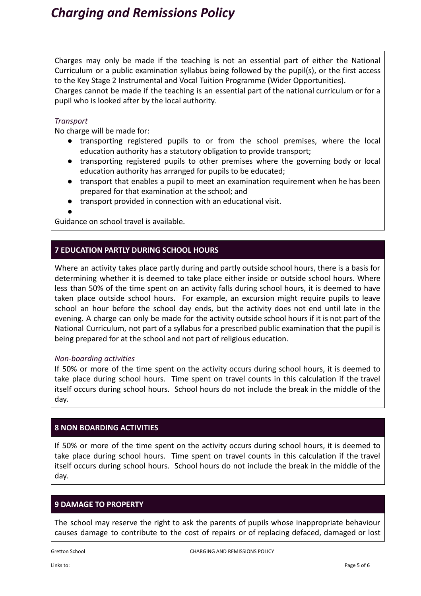Charges may only be made if the teaching is not an essential part of either the National Curriculum or a public examination syllabus being followed by the pupil(s), or the first access to the Key Stage 2 Instrumental and Vocal Tuition Programme (Wider Opportunities). Charges cannot be made if the teaching is an essential part of the national curriculum or for a

pupil who is looked after by the local authority.

## *Transport*

No charge will be made for:

- transporting registered pupils to or from the school premises, where the local education authority has a statutory obligation to provide transport;
- transporting registered pupils to other premises where the governing body or local education authority has arranged for pupils to be educated;
- transport that enables a pupil to meet an examination requirement when he has been prepared for that examination at the school; and
- transport provided in connection with an educational visit.

●

Guidance on school travel is available.

# **7 EDUCATION PARTLY DURING SCHOOL HOURS**

Where an activity takes place partly during and partly outside school hours, there is a basis for determining whether it is deemed to take place either inside or outside school hours. Where less than 50% of the time spent on an activity falls during school hours, it is deemed to have taken place outside school hours. For example, an excursion might require pupils to leave school an hour before the school day ends, but the activity does not end until late in the evening. A charge can only be made for the activity outside school hours if it is not part of the National Curriculum, not part of a syllabus for a prescribed public examination that the pupil is being prepared for at the school and not part of religious education.

### *Non-boarding activities*

If 50% or more of the time spent on the activity occurs during school hours, it is deemed to take place during school hours. Time spent on travel counts in this calculation if the travel itself occurs during school hours. School hours do not include the break in the middle of the day.

### **8 NON BOARDING ACTIVITIES**

If 50% or more of the time spent on the activity occurs during school hours, it is deemed to take place during school hours. Time spent on travel counts in this calculation if the travel itself occurs during school hours. School hours do not include the break in the middle of the day.

# **9 DAMAGE TO PROPERTY**

The school may reserve the right to ask the parents of pupils whose inappropriate behaviour causes damage to contribute to the cost of repairs or of replacing defaced, damaged or lost